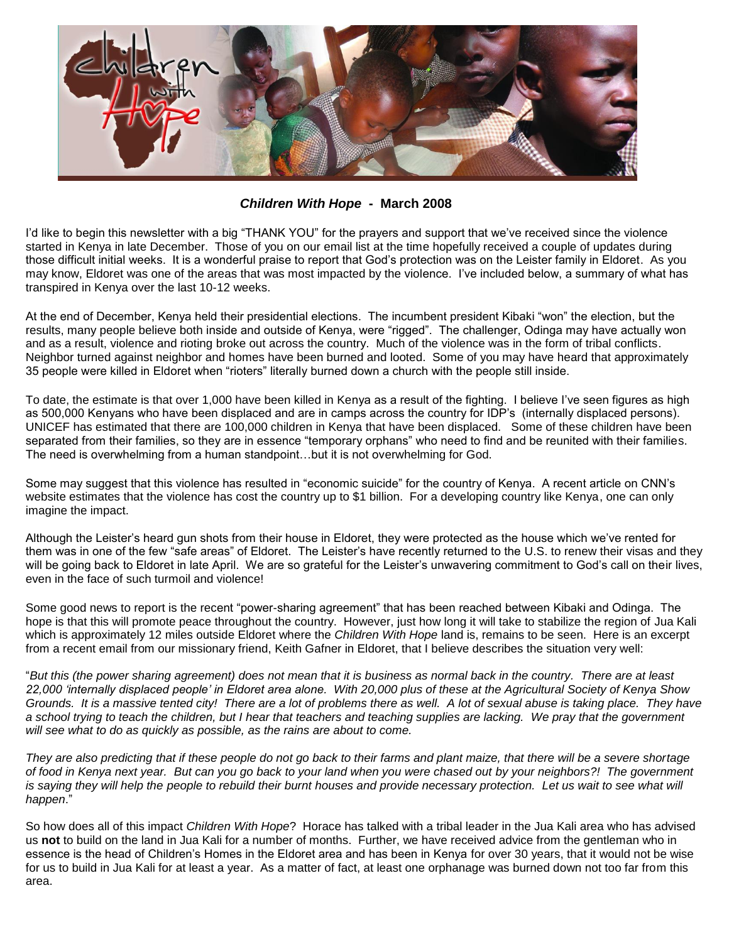

*Children With Hope* **- March 2008**

I'd like to begin this newsletter with a big "THANK YOU" for the prayers and support that we've received since the violence started in Kenya in late December. Those of you on our email list at the time hopefully received a couple of updates during those difficult initial weeks. It is a wonderful praise to report that God's protection was on the Leister family in Eldoret. As you may know, Eldoret was one of the areas that was most impacted by the violence. I've included below, a summary of what has transpired in Kenya over the last 10-12 weeks.

At the end of December, Kenya held their presidential elections. The incumbent president Kibaki "won" the election, but the results, many people believe both inside and outside of Kenya, were "rigged". The challenger, Odinga may have actually won and as a result, violence and rioting broke out across the country. Much of the violence was in the form of tribal conflicts. Neighbor turned against neighbor and homes have been burned and looted. Some of you may have heard that approximately 35 people were killed in Eldoret when "rioters" literally burned down a church with the people still inside.

To date, the estimate is that over 1,000 have been killed in Kenya as a result of the fighting. I believe I've seen figures as high as 500,000 Kenyans who have been displaced and are in camps across the country for IDP's (internally displaced persons). UNICEF has estimated that there are 100,000 children in Kenya that have been displaced. Some of these children have been separated from their families, so they are in essence "temporary orphans" who need to find and be reunited with their families. The need is overwhelming from a human standpoint…but it is not overwhelming for God.

Some may suggest that this violence has resulted in "economic suicide" for the country of Kenya. A recent article on CNN's website estimates that the violence has cost the country up to \$1 billion. For a developing country like Kenya, one can only imagine the impact.

Although the Leister's heard gun shots from their house in Eldoret, they were protected as the house which we've rented for them was in one of the few "safe areas" of Eldoret. The Leister's have recently returned to the U.S. to renew their visas and they will be going back to Eldoret in late April. We are so grateful for the Leister's unwavering commitment to God's call on their lives, even in the face of such turmoil and violence!

Some good news to report is the recent "power-sharing agreement" that has been reached between Kibaki and Odinga. The hope is that this will promote peace throughout the country. However, just how long it will take to stabilize the region of Jua Kali which is approximately 12 miles outside Eldoret where the *Children With Hope* land is, remains to be seen. Here is an excerpt from a recent email from our missionary friend, Keith Gafner in Eldoret, that I believe describes the situation very well:

"*But this (the power sharing agreement) does not mean that it is business as normal back in the country. There are at least 22,000 'internally displaced people' in Eldoret area alone. With 20,000 plus of these at the Agricultural Society of Kenya Show Grounds. It is a massive tented city! There are a lot of problems there as well. A lot of sexual abuse is taking place. They have a school trying to teach the children, but I hear that teachers and teaching supplies are lacking. We pray that the government will see what to do as quickly as possible, as the rains are about to come.*

*They are also predicting that if these people do not go back to their farms and plant maize, that there will be a severe shortage of food in Kenya next year. But can you go back to your land when you were chased out by your neighbors?! The government is saying they will help the people to rebuild their burnt houses and provide necessary protection. Let us wait to see what will happen*."

So how does all of this impact *Children With Hope*? Horace has talked with a tribal leader in the Jua Kali area who has advised us **not** to build on the land in Jua Kali for a number of months. Further, we have received advice from the gentleman who in essence is the head of Children's Homes in the Eldoret area and has been in Kenya for over 30 years, that it would not be wise for us to build in Jua Kali for at least a year. As a matter of fact, at least one orphanage was burned down not too far from this area.